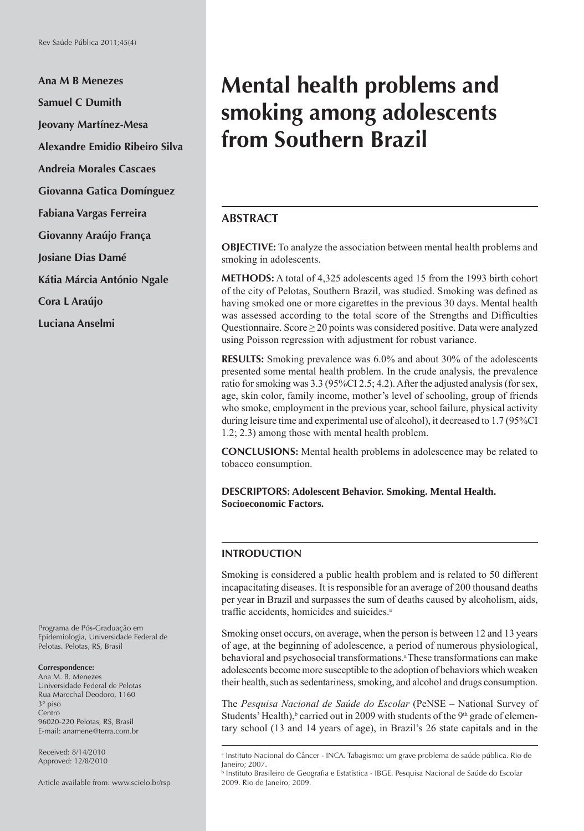**Ana M B Menezes Samuel C Dumith Jeovany Martínez-Mesa Alexandre Emidio Ribeiro Silva Andreia Morales Cascaes Giovanna Gatica Domínguez Fabiana Vargas Ferreira Giovanny Araújo França Josiane Dias Damé Kátia Márcia António Ngale Cora L Araújo Luciana Anselmi**

Programa de Pós-Graduação em Epidemiologia, Universidade Federal de Pelotas. Pelotas, RS, Brasil

#### **Correspondence:**

Ana M. B. Menezes Universidade Federal de Pelotas Rua Marechal Deodoro, 1160 3° piso Centro 96020-220 Pelotas, RS, Brasil E-mail: anamene@terra.com.br

Received: 8/14/2010 Approved: 12/8/2010

Article available from: www.scielo.br/rsp

# **Mental health problems and smoking among adolescents from Southern Brazil**

## **ABSTRACT**

**OBJECTIVE:** To analyze the association between mental health problems and smoking in adolescents.

**METHODS:** A total of 4,325 adolescents aged 15 from the 1993 birth cohort of the city of Pelotas, Southern Brazil, was studied. Smoking was defined as having smoked one or more cigarettes in the previous 30 days. Mental health was assessed according to the total score of the Strengths and Difficulties Questionnaire. Score  $\geq$  20 points was considered positive. Data were analyzed using Poisson regression with adjustment for robust variance.

**RESULTS:** Smoking prevalence was 6.0% and about 30% of the adolescents presented some mental health problem. In the crude analysis, the prevalence ratio for smoking was 3.3 (95%CI 2.5; 4.2). After the adjusted analysis (for sex, age, skin color, family income, mother's level of schooling, group of friends who smoke, employment in the previous year, school failure, physical activity during leisure time and experimental use of alcohol), it decreased to 1.7 (95%CI 1.2; 2.3) among those with mental health problem.

**CONCLUSIONS:** Mental health problems in adolescence may be related to tobacco consumption.

**DESCRIPTORS: Adolescent Behavior. Smoking. Mental Health. Socioeconomic Factors.**

#### **INTRODUCTION**

Smoking is considered a public health problem and is related to 50 different incapacitating diseases. It is responsible for an average of 200 thousand deaths per year in Brazil and surpasses the sum of deaths caused by alcoholism, aids, traffic accidents, homicides and suicides.<sup>a</sup>

Smoking onset occurs, on average, when the person is between 12 and 13 years of age, at the beginning of adolescence, a period of numerous physiological, behavioral and psychosocial transformations.<sup>a</sup> These transformations can make adolescents become more susceptible to the adoption of behaviors which weaken their health, such as sedentariness, smoking, and alcohol and drugs consumption.

The *Pesquisa Nacional de Saúde do Escolar* (PeNSE – National Survey of Students' Health), <sup>b</sup> carried out in 2009 with students of the 9<sup>th</sup> grade of elementary school (13 and 14 years of age), in Brazil's 26 state capitals and in the

a Instituto Nacional do Câncer - INCA. Tabagismo: um grave problema de saúde pública. Rio de Janeiro; 2007.

b Instituto Brasileiro de Geografia e Estatística - IBGE. Pesquisa Nacional de Saúde do Escolar 2009. Rio de Janeiro; 2009.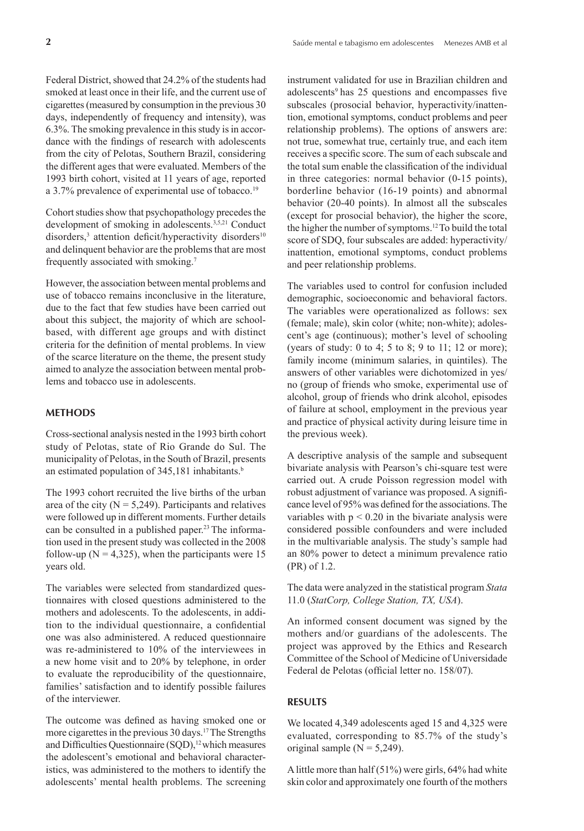Federal District, showed that 24.2% of the students had smoked at least once in their life, and the current use of cigarettes (measured by consumption in the previous 30 days, independently of frequency and intensity), was 6.3%. The smoking prevalence in this study is in accordance with the findings of research with adolescents from the city of Pelotas, Southern Brazil, considering the different ages that were evaluated. Members of the 1993 birth cohort, visited at 11 years of age, reported a 3.7% prevalence of experimental use of tobacco.<sup>19</sup>

Cohort studies show that psychopathology precedes the development of smoking in adolescents.<sup>3,5,21</sup> Conduct disorders,<sup>3</sup> attention deficit/hyperactivity disorders<sup>10</sup> and delinquent behavior are the problems that are most frequently associated with smoking.7

However, the association between mental problems and use of tobacco remains inconclusive in the literature, due to the fact that few studies have been carried out about this subject, the majority of which are schoolbased, with different age groups and with distinct criteria for the definition of mental problems. In view of the scarce literature on the theme, the present study aimed to analyze the association between mental problems and tobacco use in adolescents.

#### **METHODS**

Cross-sectional analysis nested in the 1993 birth cohort study of Pelotas, state of Rio Grande do Sul. The municipality of Pelotas, in the South of Brazil, presents an estimated population of  $345,181$  inhabitants.<sup>b</sup>

The 1993 cohort recruited the live births of the urban area of the city ( $N = 5,249$ ). Participants and relatives were followed up in different moments. Further details can be consulted in a published paper.23 The information used in the present study was collected in the 2008 follow-up ( $N = 4,325$ ), when the participants were 15 years old.

The variables were selected from standardized questionnaires with closed questions administered to the mothers and adolescents. To the adolescents, in addition to the individual questionnaire, a confidential one was also administered. A reduced questionnaire was re-administered to 10% of the interviewees in a new home visit and to 20% by telephone, in order to evaluate the reproducibility of the questionnaire, families' satisfaction and to identify possible failures of the interviewer.

The outcome was defined as having smoked one or more cigarettes in the previous 30 days.17 The Strengths and Difficulties Questionnaire (SQD),<sup>12</sup> which measures the adolescent's emotional and behavioral characteristics, was administered to the mothers to identify the adolescents' mental health problems. The screening

instrument validated for use in Brazilian children and adolescents<sup>9</sup> has 25 questions and encompasses five subscales (prosocial behavior, hyperactivity/inattention, emotional symptoms, conduct problems and peer relationship problems). The options of answers are: not true, somewhat true, certainly true, and each item receives a specific score. The sum of each subscale and the total sum enable the classification of the individual in three categories: normal behavior (0-15 points), borderline behavior (16-19 points) and abnormal behavior (20-40 points). In almost all the subscales (except for prosocial behavior), the higher the score, the higher the number of symptoms.12 To build the total score of SDQ, four subscales are added: hyperactivity/ inattention, emotional symptoms, conduct problems and peer relationship problems.

The variables used to control for confusion included demographic, socioeconomic and behavioral factors. The variables were operationalized as follows: sex (female; male), skin color (white; non-white); adolescent's age (continuous); mother's level of schooling (years of study: 0 to 4; 5 to 8; 9 to 11; 12 or more); family income (minimum salaries, in quintiles). The answers of other variables were dichotomized in yes/ no (group of friends who smoke, experimental use of alcohol, group of friends who drink alcohol, episodes of failure at school, employment in the previous year and practice of physical activity during leisure time in the previous week).

A descriptive analysis of the sample and subsequent bivariate analysis with Pearson's chi-square test were carried out. A crude Poisson regression model with robust adjustment of variance was proposed. A significance level of 95% was defined for the associations. The variables with  $p < 0.20$  in the bivariate analysis were considered possible confounders and were included in the multivariable analysis. The study's sample had an 80% power to detect a minimum prevalence ratio (PR) of 1.2.

The data were analyzed in the statistical program *Stata*  11.0 (*StatCorp, College Station, TX, USA*).

An informed consent document was signed by the mothers and/or guardians of the adolescents. The project was approved by the Ethics and Research Committee of the School of Medicine of Universidade Federal de Pelotas (official letter no. 158/07).

# **RESULTS**

We located 4,349 adolescents aged 15 and 4,325 were evaluated, corresponding to 85.7% of the study's original sample  $(N = 5,249)$ .

A little more than half  $(51\%)$  were girls, 64% had white skin color and approximately one fourth of the mothers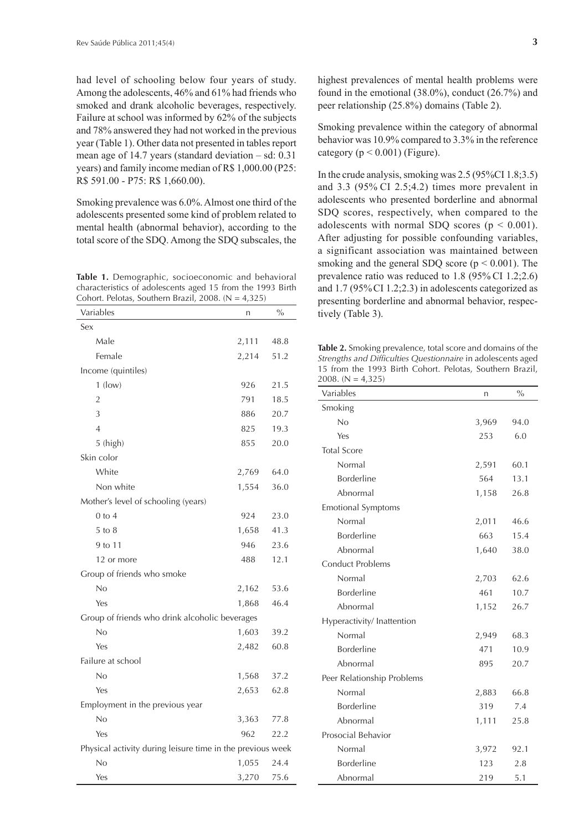had level of schooling below four years of study. Among the adolescents, 46% and 61% had friends who smoked and drank alcoholic beverages, respectively. Failure at school was informed by 62% of the subjects and 78% answered they had not worked in the previous year (Table 1). Other data not presented in tables report mean age of 14.7 years (standard deviation – sd: 0.31 years) and family income median of R\$ 1,000.00 (P25: R\$ 591.00 - P75: R\$ 1,660.00).

Smoking prevalence was 6.0%. Almost one third of the adolescents presented some kind of problem related to mental health (abnormal behavior), according to the total score of the SDQ. Among the SDQ subscales, the

**Table 1.** Demographic, socioeconomic and behavioral characteristics of adolescents aged 15 from the 1993 Birth Cohort. Pelotas, Southern Brazil, 2008.  $(N = 4,325)$ 

| Variables                                                  | n     | $\frac{0}{0}$ |  |
|------------------------------------------------------------|-------|---------------|--|
| Sex                                                        |       |               |  |
| Male                                                       | 2,111 | 48.8          |  |
| Female                                                     | 2,214 | 51.2          |  |
| Income (quintiles)                                         |       |               |  |
| $1$ (low)                                                  | 926   | 21.5          |  |
| $\overline{2}$                                             | 791   | 18.5          |  |
| 3                                                          | 886   | 20.7          |  |
| $\overline{4}$                                             | 825   | 19.3          |  |
| 5 (high)                                                   | 855   | 20.0          |  |
| Skin color                                                 |       |               |  |
| White                                                      | 2,769 | 64.0          |  |
| Non white                                                  | 1,554 | 36.0          |  |
| Mother's level of schooling (years)                        |       |               |  |
| $0$ to $4$                                                 | 924   | 23.0          |  |
| $5$ to $8$                                                 | 1,658 | 41.3          |  |
| 9 to 11                                                    | 946   | 23.6          |  |
| 12 or more                                                 | 488   | 12.1          |  |
| Group of friends who smoke                                 |       |               |  |
| No                                                         | 2,162 | 53.6          |  |
| Yes                                                        | 1,868 | 46.4          |  |
| Group of friends who drink alcoholic beverages             |       |               |  |
| No                                                         | 1,603 | 39.2          |  |
| Yes                                                        | 2,482 | 60.8          |  |
| Failure at school                                          |       |               |  |
| No                                                         | 1,568 | 37.2          |  |
| Yes                                                        | 2,653 | 62.8          |  |
| Employment in the previous year                            |       |               |  |
| No                                                         | 3,363 | 77.8          |  |
| Yes                                                        | 962   | 22.2          |  |
| Physical activity during leisure time in the previous week |       |               |  |
| No                                                         | 1,055 | 24.4          |  |
| Yes                                                        | 3,270 | 75.6          |  |

highest prevalences of mental health problems were found in the emotional (38.0%), conduct (26.7%) and peer relationship (25.8%) domains (Table 2).

Smoking prevalence within the category of abnormal behavior was 10.9% compared to 3.3% in the reference category ( $p < 0.001$ ) (Figure).

In the crude analysis, smoking was 2.5 (95%CI 1.8;3.5) and 3.3 (95% CI 2.5;4.2) times more prevalent in adolescents who presented borderline and abnormal SDQ scores, respectively, when compared to the adolescents with normal SDQ scores ( $p < 0.001$ ). After adjusting for possible confounding variables, a significant association was maintained between smoking and the general SDQ score ( $p \le 0.001$ ). The prevalence ratio was reduced to 1.8 (95% CI 1.2;2.6) and 1.7 (95%CI 1.2;2.3) in adolescents categorized as presenting borderline and abnormal behavior, respectively (Table 3).

**Table 2.** Smoking prevalence, total score and domains of the Strengths and Difficulties Questionnaire in adolescents aged 15 from the 1993 Birth Cohort. Pelotas, Southern Brazil, 2008.  $(N = 4,325)$ 

| Variables                  | n     | $\frac{0}{0}$ |
|----------------------------|-------|---------------|
| Smoking                    |       |               |
| No                         | 3,969 | 94.0          |
| Yes                        | 253   | 6.0           |
| <b>Total Score</b>         |       |               |
| Normal                     | 2,591 | 60.1          |
| <b>Borderline</b>          | 564   | 13.1          |
| Abnormal                   | 1,158 | 26.8          |
| <b>Emotional Symptoms</b>  |       |               |
| Normal                     | 2,011 | 46.6          |
| <b>Borderline</b>          | 663   | 15.4          |
| Abnormal                   | 1,640 | 38.0          |
| <b>Conduct Problems</b>    |       |               |
| Normal                     | 2,703 | 62.6          |
| <b>Borderline</b>          | 461   | 10.7          |
| Abnormal                   | 1,152 | 26.7          |
| Hyperactivity/ Inattention |       |               |
| Normal                     | 2,949 | 68.3          |
| <b>Borderline</b>          | 471   | 10.9          |
| Abnormal                   | 895   | 20.7          |
| Peer Relationship Problems |       |               |
| Normal                     | 2,883 | 66.8          |
| Borderline                 | 319   | 7.4           |
| Abnormal                   | 1,111 | 25.8          |
| Prosocial Behavior         |       |               |
| Normal                     | 3,972 | 92.1          |
| <b>Borderline</b>          | 123   | 2.8           |
| Abnormal                   | 219   | 5.1           |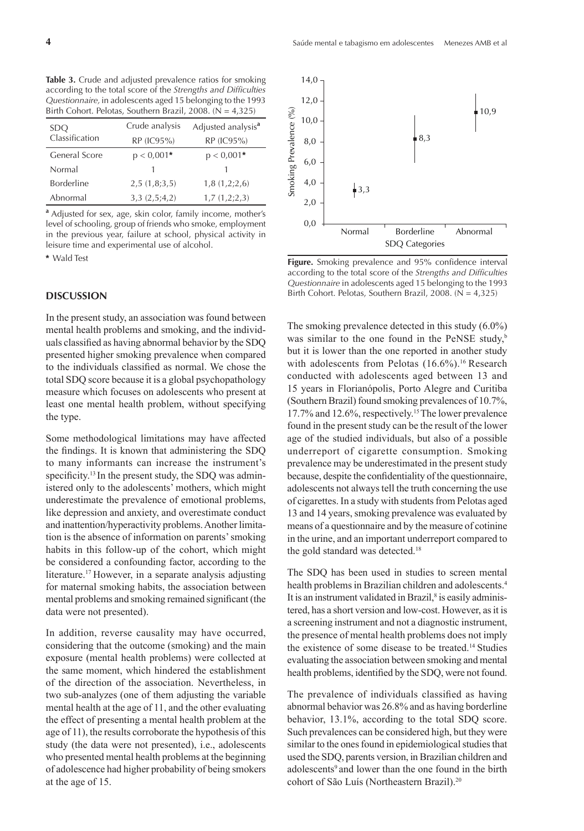**Table 3.** Crude and adjusted prevalence ratios for smoking according to the total score of the *Strengths and Difficulties Questionnaire,* in adolescents aged 15 belonging to the 1993 Birth Cohort. Pelotas, Southern Brazil, 2008.  $(N = 4,325)$ 

| SDO               | Crude analysis | Adjusted analysis <sup>a</sup> |
|-------------------|----------------|--------------------------------|
| Classification    | RP (IC95%)     | RP (IC95%)                     |
| General Score     | $p < 0.001*$   | $p < 0.001*$                   |
| Normal            |                |                                |
| <b>Borderline</b> | 2,5(1,8;3,5)   | 1,8(1,2;2,6)                   |
| Abnormal          | 3,3(2,5;4,2)   | 1,7(1,2;2,3)                   |

**a** Adjusted for sex, age, skin color, family income, mother's level of schooling, group of friends who smoke, employment in the previous year, failure at school, physical activity in leisure time and experimental use of alcohol.

### **DISCUSSION**

In the present study, an association was found between mental health problems and smoking, and the individuals classified as having abnormal behavior by the SDQ presented higher smoking prevalence when compared to the individuals classified as normal. We chose the total SDQ score because it is a global psychopathology measure which focuses on adolescents who present at least one mental health problem, without specifying the type.

Some methodological limitations may have affected the findings. It is known that administering the SDQ to many informants can increase the instrument's specificity.<sup>13</sup> In the present study, the SDQ was administered only to the adolescents' mothers, which might underestimate the prevalence of emotional problems, like depression and anxiety, and overestimate conduct and inattention/hyperactivity problems. Another limitation is the absence of information on parents' smoking habits in this follow-up of the cohort, which might be considered a confounding factor, according to the literature.<sup>17</sup> However, in a separate analysis adjusting for maternal smoking habits, the association between mental problems and smoking remained significant (the data were not presented).

In addition, reverse causality may have occurred, considering that the outcome (smoking) and the main exposure (mental health problems) were collected at the same moment, which hindered the establishment of the direction of the association. Nevertheless, in two sub-analyzes (one of them adjusting the variable mental health at the age of 11, and the other evaluating the effect of presenting a mental health problem at the age of 11), the results corroborate the hypothesis of this study (the data were not presented), i.e., adolescents who presented mental health problems at the beginning of adolescence had higher probability of being smokers at the age of 15.



\* Wald Test **Figure.** Smoking prevalence and 95% confidence interval according to the total score of the *Strengths and Difficulties Questionnaire* in adolescents aged 15 belonging to the 1993 Birth Cohort. Pelotas, Southern Brazil, 2008. ( $N = 4,325$ )

The smoking prevalence detected in this study (6.0%) was similar to the one found in the PeNSE study, $\frac{b}{b}$ but it is lower than the one reported in another study with adolescents from Pelotas (16.6%).<sup>16</sup> Research conducted with adolescents aged between 13 and 15 years in Florianópolis, Porto Alegre and Curitiba (Southern Brazil) found smoking prevalences of 10.7%, 17.7% and 12.6%, respectively.15 The lower prevalence found in the present study can be the result of the lower age of the studied individuals, but also of a possible underreport of cigarette consumption. Smoking prevalence may be underestimated in the present study because, despite the confidentiality of the questionnaire, adolescents not always tell the truth concerning the use of cigarettes. In a study with students from Pelotas aged 13 and 14 years, smoking prevalence was evaluated by means of a questionnaire and by the measure of cotinine in the urine, and an important underreport compared to the gold standard was detected.18

The SDQ has been used in studies to screen mental health problems in Brazilian children and adolescents.<sup>4</sup> It is an instrument validated in Brazil, $\delta$  is easily administered, has a short version and low-cost. However, as it is a screening instrument and not a diagnostic instrument, the presence of mental health problems does not imply the existence of some disease to be treated.14 Studies evaluating the association between smoking and mental health problems, identified by the SDQ, were not found.

The prevalence of individuals classified as having abnormal behavior was 26.8% and as having borderline behavior, 13.1%, according to the total SDQ score. Such prevalences can be considered high, but they were similar to the ones found in epidemiological studies that used the SDQ, parents version, in Brazilian children and adolescents<sup>9</sup> and lower than the one found in the birth cohort of São Luís (Northeastern Brazil).<sup>20</sup>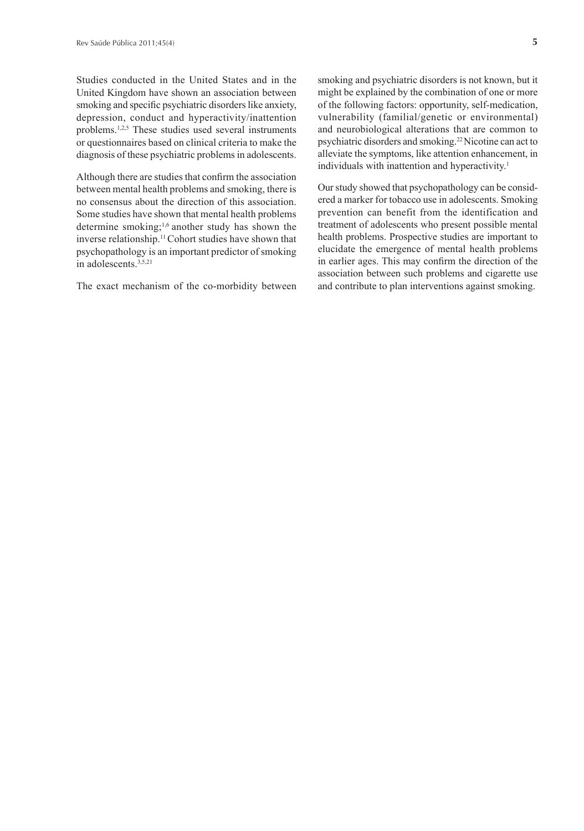Studies conducted in the United States and in the United Kingdom have shown an association between smoking and specific psychiatric disorders like anxiety, depression, conduct and hyperactivity/inattention problems.1,2,5 These studies used several instruments or questionnaires based on clinical criteria to make the diagnosis of these psychiatric problems in adolescents.

Although there are studies that confirm the association between mental health problems and smoking, there is no consensus about the direction of this association. Some studies have shown that mental health problems determine smoking;1,6 another study has shown the inverse relationship.11 Cohort studies have shown that psychopathology is an important predictor of smoking in adolescents<sup>3,5,21</sup>

The exact mechanism of the co-morbidity between

smoking and psychiatric disorders is not known, but it might be explained by the combination of one or more of the following factors: opportunity, self-medication, vulnerability (familial/genetic or environmental) and neurobiological alterations that are common to psychiatric disorders and smoking.22 Nicotine can act to alleviate the symptoms, like attention enhancement, in individuals with inattention and hyperactivity.<sup>1</sup>

Our study showed that psychopathology can be considered a marker for tobacco use in adolescents. Smoking prevention can benefit from the identification and treatment of adolescents who present possible mental health problems. Prospective studies are important to elucidate the emergence of mental health problems in earlier ages. This may confirm the direction of the association between such problems and cigarette use and contribute to plan interventions against smoking.